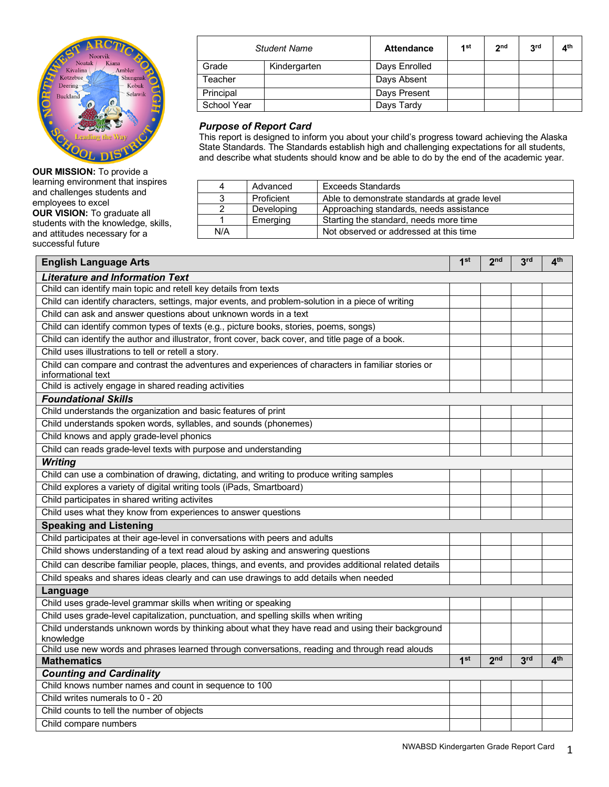

**OUR MISSION:** To provide a learning environment that inspires and challenges students and employees to excel **OUR VISION:** To graduate all students with the knowledge, skills, and attitudes necessary for a successful future

|             | <b>Student Name</b> | <b>Attendance</b> | 1st | 2 <sub>nd</sub> | 3 <sup>rd</sup> | 4 <sup>th</sup> |
|-------------|---------------------|-------------------|-----|-----------------|-----------------|-----------------|
| Grade       | Kindergarten        | Days Enrolled     |     |                 |                 |                 |
| Teacher     |                     | Days Absent       |     |                 |                 |                 |
| Principal   |                     | Days Present      |     |                 |                 |                 |
| School Year |                     | Days Tardy        |     |                 |                 |                 |

## *Purpose of Report Card*

This report is designed to inform you about your child's progress toward achieving the Alaska State Standards. The Standards establish high and challenging expectations for all students, and describe what students should know and be able to do by the end of the academic year.

| 4   | Advanced   | <b>Exceeds Standards</b>                     |
|-----|------------|----------------------------------------------|
| 3   | Proficient | Able to demonstrate standards at grade level |
|     | Developing | Approaching standards, needs assistance      |
|     | Emerging   | Starting the standard, needs more time       |
| N/A |            | Not observed or addressed at this time       |

| <b>English Language Arts</b>                                                                                             | 1 <sup>st</sup> | 2 <sub>nd</sub> | 3 <sup>rd</sup> | 4 <sup>th</sup> |  |
|--------------------------------------------------------------------------------------------------------------------------|-----------------|-----------------|-----------------|-----------------|--|
| <b>Literature and Information Text</b>                                                                                   |                 |                 |                 |                 |  |
| Child can identify main topic and retell key details from texts                                                          |                 |                 |                 |                 |  |
| Child can identify characters, settings, major events, and problem-solution in a piece of writing                        |                 |                 |                 |                 |  |
| Child can ask and answer questions about unknown words in a text                                                         |                 |                 |                 |                 |  |
| Child can identify common types of texts (e.g., picture books, stories, poems, songs)                                    |                 |                 |                 |                 |  |
| Child can identify the author and illustrator, front cover, back cover, and title page of a book.                        |                 |                 |                 |                 |  |
| Child uses illustrations to tell or retell a story.                                                                      |                 |                 |                 |                 |  |
| Child can compare and contrast the adventures and experiences of characters in familiar stories or<br>informational text |                 |                 |                 |                 |  |
| Child is actively engage in shared reading activities                                                                    |                 |                 |                 |                 |  |
| <b>Foundational Skills</b>                                                                                               |                 |                 |                 |                 |  |
| Child understands the organization and basic features of print                                                           |                 |                 |                 |                 |  |
| Child understands spoken words, syllables, and sounds (phonemes)                                                         |                 |                 |                 |                 |  |
| Child knows and apply grade-level phonics                                                                                |                 |                 |                 |                 |  |
| Child can reads grade-level texts with purpose and understanding                                                         |                 |                 |                 |                 |  |
| <b>Writing</b>                                                                                                           |                 |                 |                 |                 |  |
| Child can use a combination of drawing, dictating, and writing to produce writing samples                                |                 |                 |                 |                 |  |
| Child explores a variety of digital writing tools (iPads, Smartboard)                                                    |                 |                 |                 |                 |  |
| Child participates in shared writing activites                                                                           |                 |                 |                 |                 |  |
| Child uses what they know from experiences to answer questions                                                           |                 |                 |                 |                 |  |
| <b>Speaking and Listening</b>                                                                                            |                 |                 |                 |                 |  |
| Child participates at their age-level in conversations with peers and adults                                             |                 |                 |                 |                 |  |
| Child shows understanding of a text read aloud by asking and answering questions                                         |                 |                 |                 |                 |  |
| Child can describe familiar people, places, things, and events, and provides additional related details                  |                 |                 |                 |                 |  |
| Child speaks and shares ideas clearly and can use drawings to add details when needed                                    |                 |                 |                 |                 |  |
| Language                                                                                                                 |                 |                 |                 |                 |  |
| Child uses grade-level grammar skills when writing or speaking                                                           |                 |                 |                 |                 |  |
| Child uses grade-level capitalization, punctuation, and spelling skills when writing                                     |                 |                 |                 |                 |  |
| Child understands unknown words by thinking about what they have read and using their background                         |                 |                 |                 |                 |  |
| knowledge                                                                                                                |                 |                 |                 |                 |  |
| Child use new words and phrases learned through conversations, reading and through read alouds<br><b>Mathematics</b>     | 1 <sup>st</sup> | 2 <sub>nd</sub> | 3 <sup>rd</sup> | 4 <sup>th</sup> |  |
| <b>Counting and Cardinality</b>                                                                                          |                 |                 |                 |                 |  |
| Child knows number names and count in sequence to 100                                                                    |                 |                 |                 |                 |  |
| Child writes numerals to 0 - 20                                                                                          |                 |                 |                 |                 |  |
| Child counts to tell the number of objects                                                                               |                 |                 |                 |                 |  |
| Child compare numbers                                                                                                    |                 |                 |                 |                 |  |
|                                                                                                                          |                 |                 |                 |                 |  |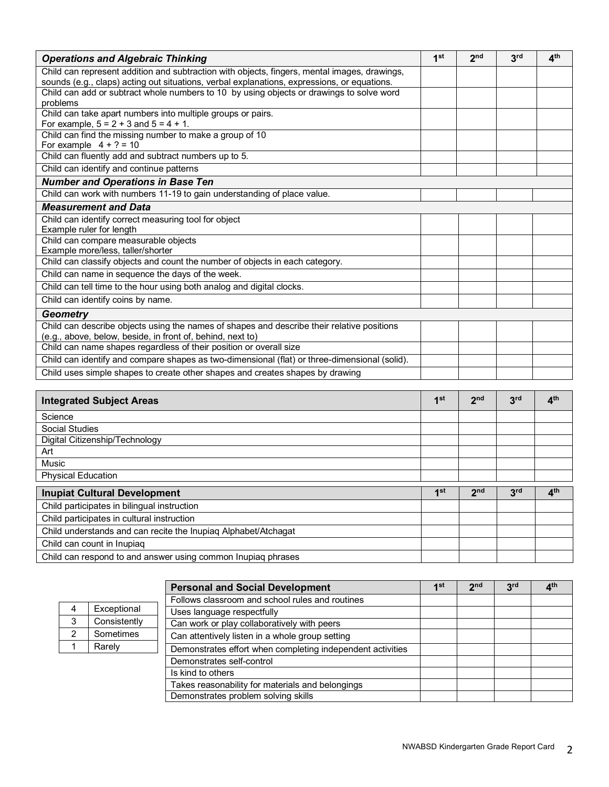| <b>Operations and Algebraic Thinking</b>                                                      | 1 <sup>st</sup> | 2 <sub>nd</sub> | 3 <sup>rd</sup> | $\mathbf{A}^{\text{th}}$ |
|-----------------------------------------------------------------------------------------------|-----------------|-----------------|-----------------|--------------------------|
| Child can represent addition and subtraction with objects, fingers, mental images, drawings,  |                 |                 |                 |                          |
| sounds (e.g., claps) acting out situations, verbal explanations, expressions, or equations.   |                 |                 |                 |                          |
| Child can add or subtract whole numbers to 10 by using objects or drawings to solve word      |                 |                 |                 |                          |
| problems                                                                                      |                 |                 |                 |                          |
| Child can take apart numbers into multiple groups or pairs.                                   |                 |                 |                 |                          |
| For example, $5 = 2 + 3$ and $5 = 4 + 1$ .                                                    |                 |                 |                 |                          |
| Child can find the missing number to make a group of 10                                       |                 |                 |                 |                          |
| For example $4 + ? = 10$                                                                      |                 |                 |                 |                          |
| Child can fluently add and subtract numbers up to 5.                                          |                 |                 |                 |                          |
| Child can identify and continue patterns                                                      |                 |                 |                 |                          |
| <b>Number and Operations in Base Ten</b>                                                      |                 |                 |                 |                          |
| Child can work with numbers 11-19 to gain understanding of place value.                       |                 |                 |                 |                          |
| <b>Measurement and Data</b>                                                                   |                 |                 |                 |                          |
| Child can identify correct measuring tool for object                                          |                 |                 |                 |                          |
| Example ruler for length                                                                      |                 |                 |                 |                          |
| Child can compare measurable objects                                                          |                 |                 |                 |                          |
| Example more/less, taller/shorter                                                             |                 |                 |                 |                          |
| Child can classify objects and count the number of objects in each category.                  |                 |                 |                 |                          |
| Child can name in sequence the days of the week.                                              |                 |                 |                 |                          |
| Child can tell time to the hour using both analog and digital clocks.                         |                 |                 |                 |                          |
| Child can identify coins by name.                                                             |                 |                 |                 |                          |
| Geometry                                                                                      |                 |                 |                 |                          |
| Child can describe objects using the names of shapes and describe their relative positions    |                 |                 |                 |                          |
| (e.g., above, below, beside, in front of, behind, next to)                                    |                 |                 |                 |                          |
| Child can name shapes regardless of their position or overall size                            |                 |                 |                 |                          |
| Child can identify and compare shapes as two-dimensional (flat) or three-dimensional (solid). |                 |                 |                 |                          |
| Child uses simple shapes to create other shapes and creates shapes by drawing                 |                 |                 |                 |                          |

| <b>Integrated Subject Areas</b>                                | 1 <sup>st</sup> | 2 <sub>nd</sub> | 3 <sup>rd</sup> | 4 <sup>th</sup> |
|----------------------------------------------------------------|-----------------|-----------------|-----------------|-----------------|
| Science                                                        |                 |                 |                 |                 |
| <b>Social Studies</b>                                          |                 |                 |                 |                 |
| Digital Citizenship/Technology                                 |                 |                 |                 |                 |
| Art                                                            |                 |                 |                 |                 |
| Music                                                          |                 |                 |                 |                 |
| <b>Physical Education</b>                                      |                 |                 |                 |                 |
| <b>Inupiat Cultural Development</b>                            | 1 <sup>st</sup> | 2 <sub>nd</sub> | 3 <sup>rd</sup> | 4 <sup>th</sup> |
| Child participates in bilingual instruction                    |                 |                 |                 |                 |
| Child participates in cultural instruction                     |                 |                 |                 |                 |
| Child understands and can recite the Inupiaq Alphabet/Atchagat |                 |                 |                 |                 |
| Child can count in Inupiag                                     |                 |                 |                 |                 |
| Child can respond to and answer using common Inupiag phrases   |                 |                 |                 |                 |

|   |              | <b>Personal and Social Development</b>                     | 1st | 2 <sub>nd</sub> | 3 <sup>rd</sup> | $4^{\text{th}}$ |
|---|--------------|------------------------------------------------------------|-----|-----------------|-----------------|-----------------|
|   |              | Follows classroom and school rules and routines            |     |                 |                 |                 |
| 4 | Exceptional  | Uses language respectfully                                 |     |                 |                 |                 |
| 3 | Consistently | Can work or play collaboratively with peers                |     |                 |                 |                 |
| っ | Sometimes    | Can attentively listen in a whole group setting            |     |                 |                 |                 |
|   | Rarely       | Demonstrates effort when completing independent activities |     |                 |                 |                 |
|   |              | Demonstrates self-control                                  |     |                 |                 |                 |
|   |              | Is kind to others                                          |     |                 |                 |                 |
|   |              | Takes reasonability for materials and belongings           |     |                 |                 |                 |
|   |              | Demonstrates problem solving skills                        |     |                 |                 |                 |